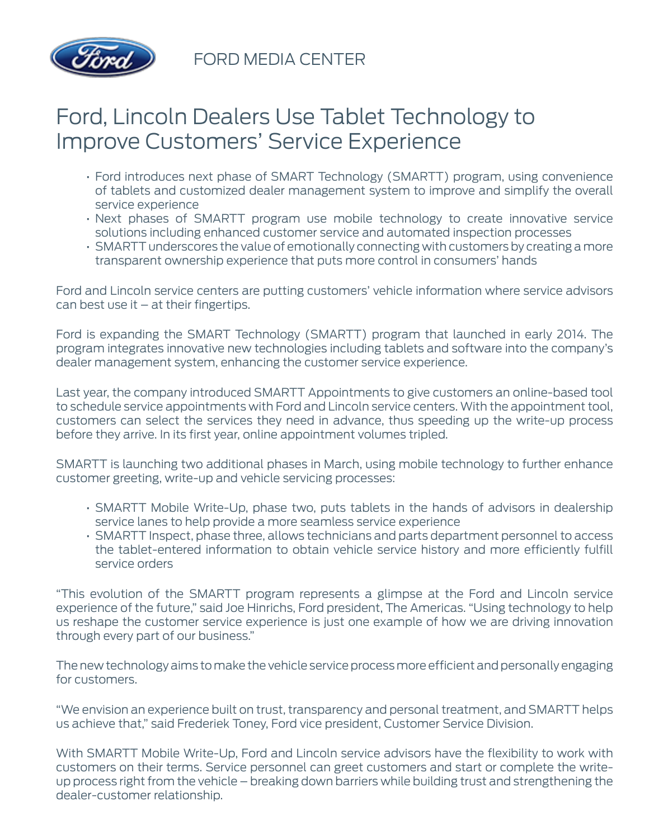

FORD MEDIA CENTER

## Ford, Lincoln Dealers Use Tablet Technology to Improve Customers' Service Experience

- Ford introduces next phase of SMART Technology (SMARTT) program, using convenience of tablets and customized dealer management system to improve and simplify the overall service experience
- Next phases of SMARTT program use mobile technology to create innovative service solutions including enhanced customer service and automated inspection processes
- SMARTT underscores the value of emotionally connecting with customers by creating a more transparent ownership experience that puts more control in consumers' hands

Ford and Lincoln service centers are putting customers' vehicle information where service advisors  $can$  best use it  $-$  at their fingertips.

Ford is expanding the SMART Technology (SMARTT) program that launched in early 2014. The program integrates innovative new technologies including tablets and software into the company's dealer management system, enhancing the customer service experience.

Last year, the company introduced SMARTT Appointments to give customers an online-based tool to schedule service appointments with Ford and Lincoln service centers. With the appointment tool, customers can select the services they need in advance, thus speeding up the write-up process before they arrive. In its first year, online appointment volumes tripled.

SMARTT is launching two additional phases in March, using mobile technology to further enhance customer greeting, write-up and vehicle servicing processes:

- SMARTT Mobile Write-Up, phase two, puts tablets in the hands of advisors in dealership service lanes to help provide a more seamless service experience
- SMARTT Inspect, phase three, allows technicians and parts department personnel to access the tablet-entered information to obtain vehicle service history and more efficiently fulfill service orders

"This evolution of the SMARTT program represents a glimpse at the Ford and Lincoln service experience of the future," said Joe Hinrichs, Ford president, The Americas. "Using technology to help us reshape the customer service experience is just one example of how we are driving innovation through every part of our business."

The new technology aims to make the vehicle service process more efficient and personally engaging for customers.

"We envision an experience built on trust, transparency and personal treatment, and SMARTT helps us achieve that," said Frederiek Toney, Ford vice president, Customer Service Division.

With SMARTT Mobile Write-Up, Ford and Lincoln service advisors have the flexibility to work with customers on their terms. Service personnel can greet customers and start or complete the writeup process right from the vehicle – breaking down barriers while building trust and strengthening the dealer-customer relationship.